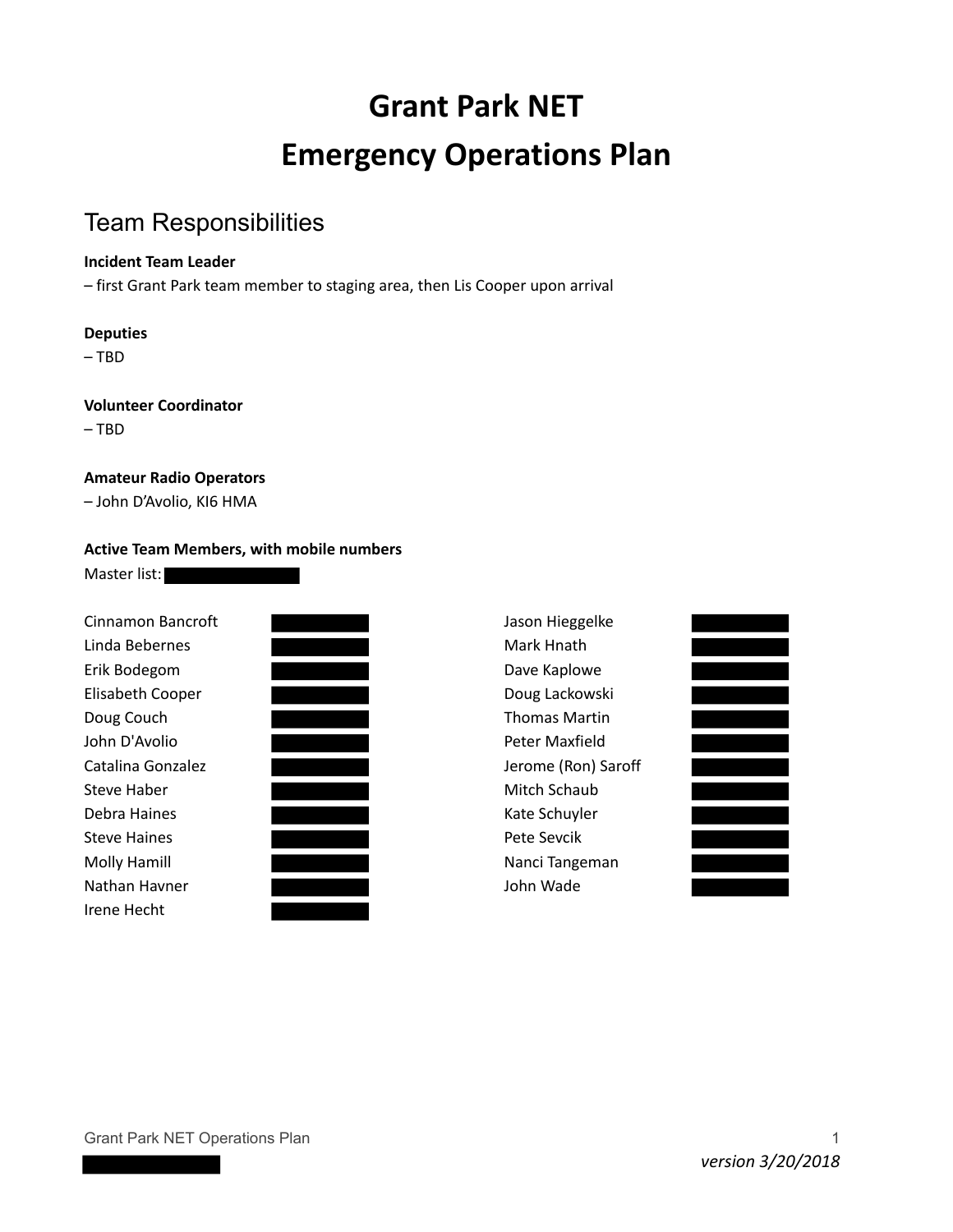# **Grant Park NET Emergency Operations Plan**

### Team Responsibilities

#### **Incident Team Leader**

– first Grant Park team member to staging area, then Lis Cooper upon arrival

#### **Deputies**

– TBD

**Volunteer Coordinator** – TBD

#### **Amateur Radio Operators**

– John D'Avolio, KI6 HMA

#### **Active Team Members, with mobile numbers**

Master list:

Cinnamon Bancroft Linda Bebernes Erik Bodegom Elisabeth Cooper Doug Couch John D'Avolio Catalina Gonzalez Steve Haber Debra Haines Steve Haines Molly Hamill Nathan Havner Irene Hecht



Jason Hieggelke Mark Hnath Dave Kaplowe Doug Lackowski Thomas Martin Peter Maxfield Jerome (Ron) Saroff Mitch Schaub Kate Schuyler Pete Sevcik Nanci Tangeman John Wade

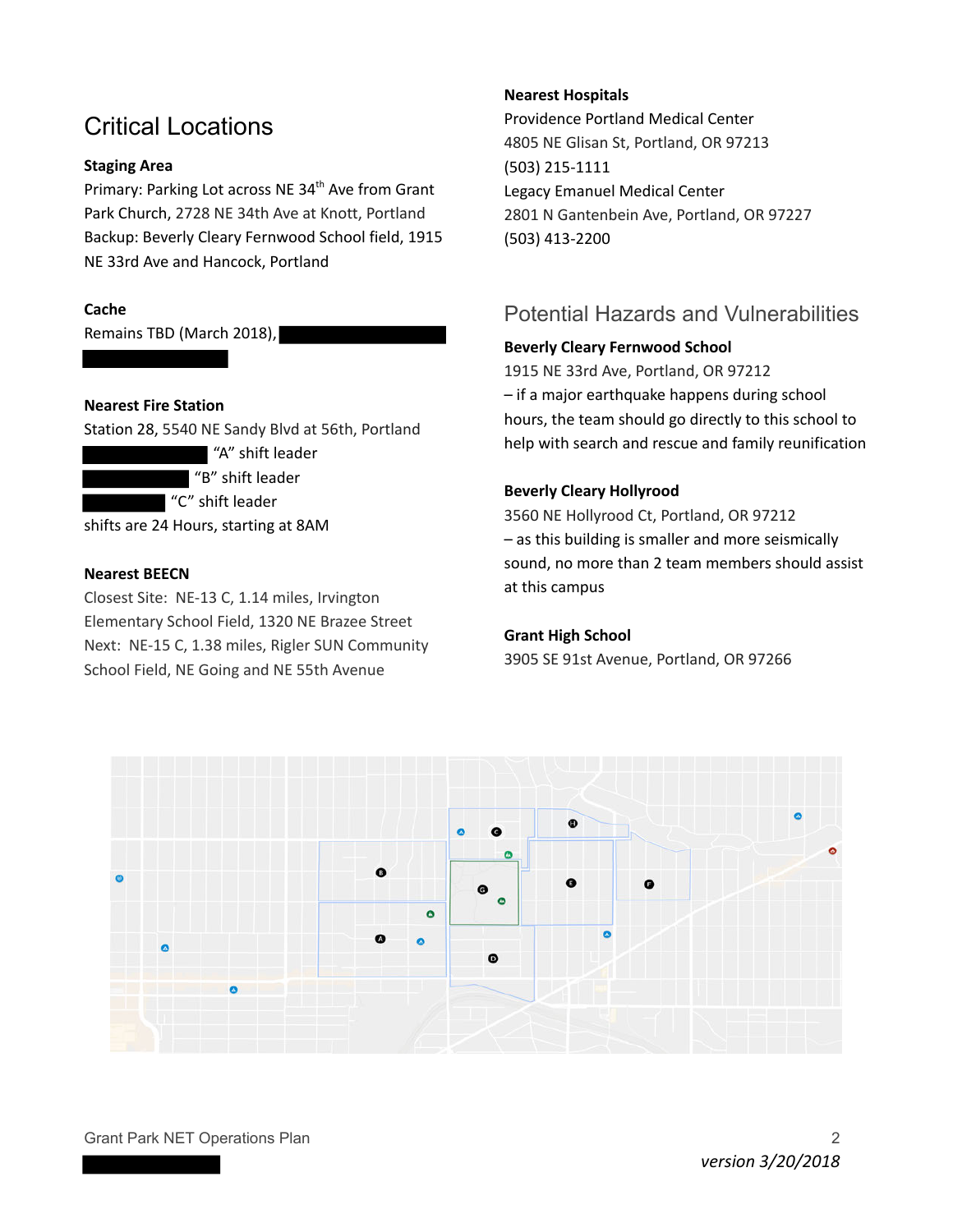## Critical Locations

#### **Staging Area**

Primary: Parking Lot across NE 34<sup>th</sup> Ave from Grant Park Church, 2728 NE 34th Ave at Knott, Portland Backup: Beverly Cleary Fernwood School field, 1915 NE 33rd Ave and Hancock, Portland

#### **Cache**

Remains TBD (March 2018),

### **Nearest Fire Station**

Station 28, 5540 NE Sandy Blvd at 56th, Portland "A" shift leader "B" shift leader "C" shift leader shifts are 24 Hours, starting at 8AM

#### **Nearest BEECN**

Closest Site: NE-13 C, 1.14 miles, Irvington Elementary School Field, 1320 NE Brazee Street Next: NE-15 C, 1.38 miles, Rigler SUN Community School Field, NE Going and NE 55th Avenue

#### **Nearest Hospitals**

Providence Portland Medical Center 4805 NE Glisan St, Portland, OR 97213 (503) 215-1111 Legacy Emanuel Medical Center 2801 N Gantenbein Ave, Portland, OR 97227 (503) 413-2200

### Potential Hazards and Vulnerabilities

#### **Beverly Cleary Fernwood School**

1915 NE 33rd Ave, Portland, OR 97212 – if a major earthquake happens during school hours, the team should go directly to this school to help with search and rescue and family reunification

#### **Beverly Cleary Hollyrood**

3560 NE Hollyrood Ct, Portland, OR 97212 – as this building is smaller and more seismically sound, no more than 2 team members should assist at this campus

#### **Grant High School**

3905 SE 91st Avenue, Portland, OR 97266

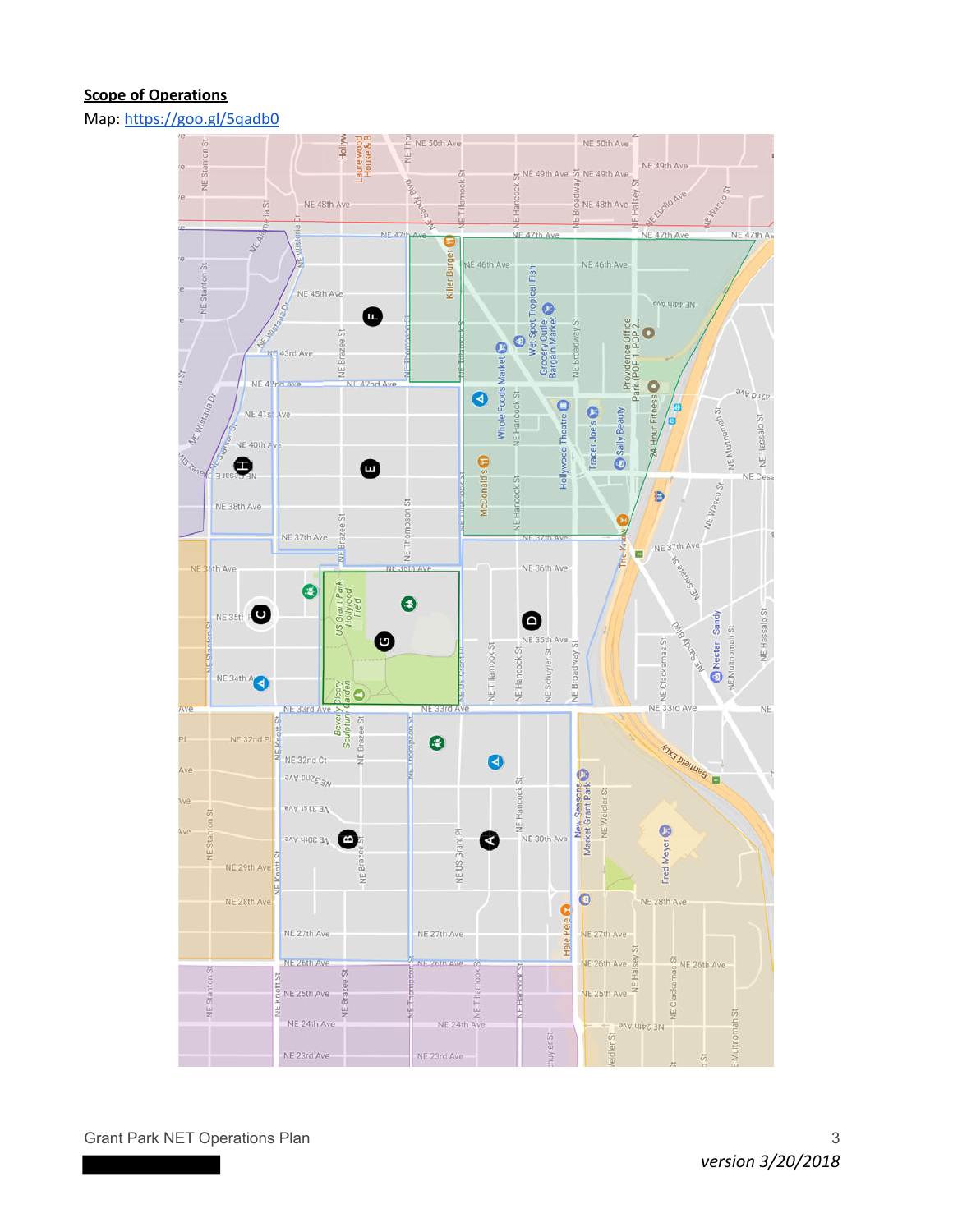#### **Scope of Operations**

Map: https://goo.gl/5qadb0

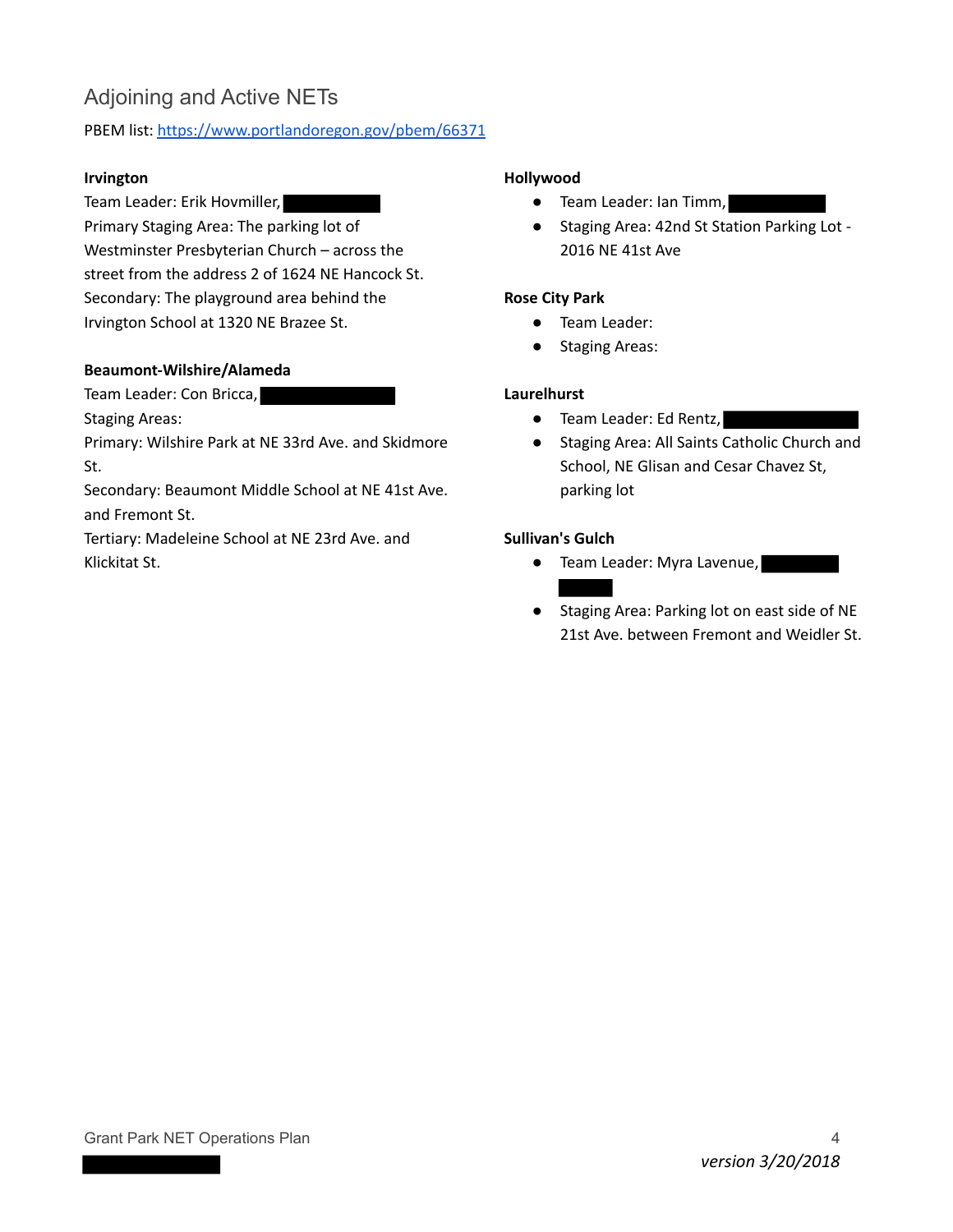### Adjoining and Active NETs

PBEM list: https://www.portlandoregon.gov/pbem/66371

#### **Irvington**

Team Leader: Erik Hovmiller, Primary Staging Area: The parking lot of Westminster Presbyterian Church – across the street from the address 2 of 1624 NE Hancock St. Secondary: The playground area behind the Irvington School at 1320 NE Brazee St.

#### **Beaumont-Wilshire/Alameda**

Team Leader: Con Bricca,

Staging Areas:

Primary: Wilshire Park at NE 33rd Ave. and Skidmore St.

Secondary: Beaumont Middle School at NE 41st Ave. and Fremont St.

Tertiary: Madeleine School at NE 23rd Ave. and Klickitat St.

#### **Hollywood**

- Team Leader: Ian Timm,
- Staging Area: 42nd St Station Parking Lot 2016 NE 41st Ave

#### **Rose City Park**

- Team Leader:
- Staging Areas:

#### **Laurelhurst**

- Team Leader: Ed Rentz,
- Staging Area: All Saints Catholic Church and School, NE Glisan and Cesar Chavez St, parking lot

#### **Sullivan's Gulch**

- Team Leader: Myra Lavenue,
- Staging Area: Parking lot on east side of NE 21st Ave. between Fremont and Weidler St.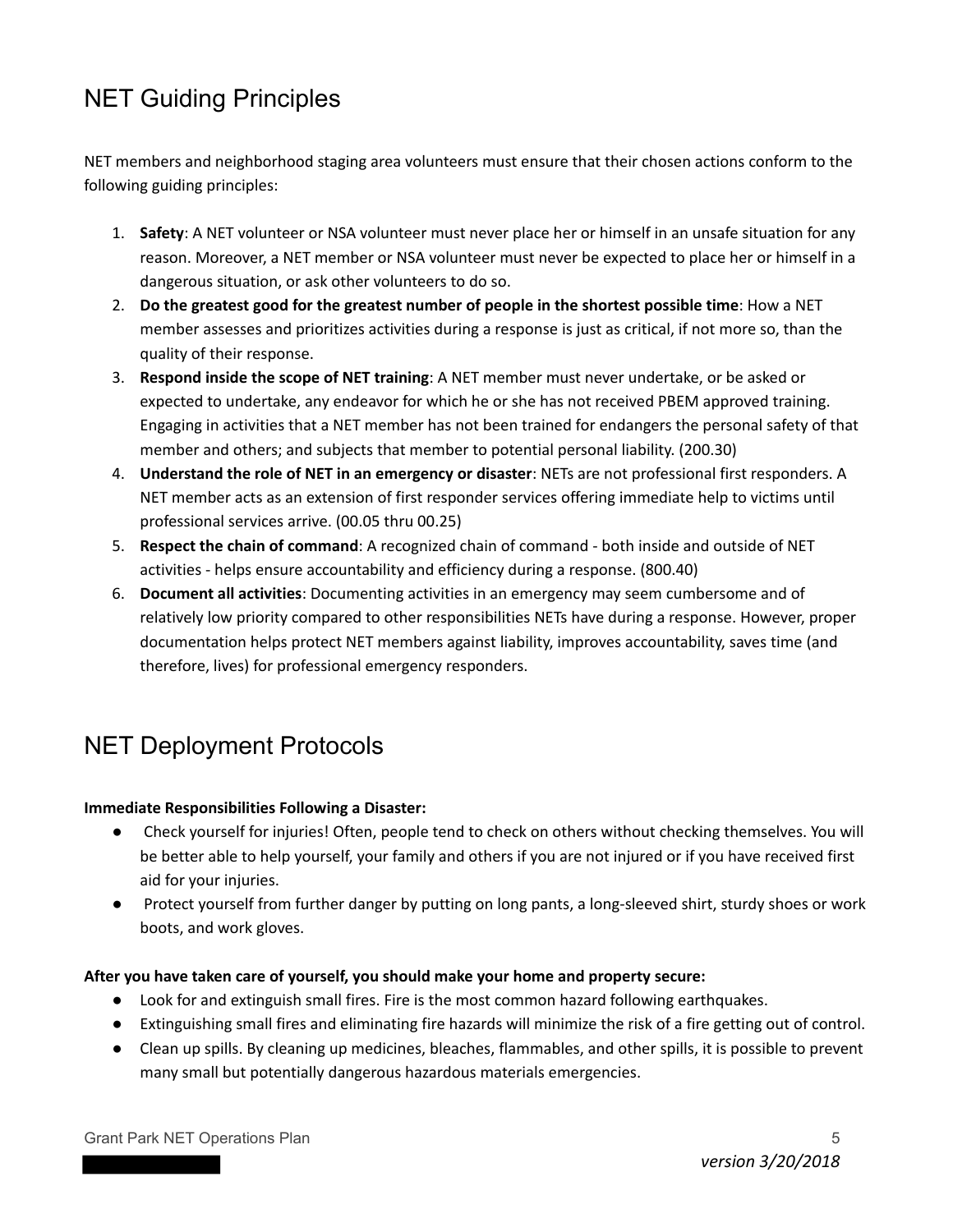# NET Guiding Principles

NET members and neighborhood staging area volunteers must ensure that their chosen actions conform to the following guiding principles:

- 1. **Safety**: A NET volunteer or NSA volunteer must never place her or himself in an unsafe situation for any reason. Moreover, a NET member or NSA volunteer must never be expected to place her or himself in a dangerous situation, or ask other volunteers to do so.
- 2. **Do the greatest good for the greatest number of people in the shortest possible time**: How a NET member assesses and prioritizes activities during a response is just as critical, if not more so, than the quality of their response.
- 3. **Respond inside the scope of NET training**: A NET member must never undertake, or be asked or expected to undertake, any endeavor for which he or she has not received PBEM approved training. Engaging in activities that a NET member has not been trained for endangers the personal safety of that member and others; and subjects that member to potential personal liability. (200.30)
- 4. **Understand the role of NET in an emergency or disaster**: NETs are not professional first responders. A NET member acts as an extension of first responder services offering immediate help to victims until professional services arrive. (00.05 thru 00.25)
- 5. **Respect the chain of command**: A recognized chain of command both inside and outside of NET activities - helps ensure accountability and efficiency during a response. (800.40)
- 6. **Document all activities**: Documenting activities in an emergency may seem cumbersome and of relatively low priority compared to other responsibilities NETs have during a response. However, proper documentation helps protect NET members against liability, improves accountability, saves time (and therefore, lives) for professional emergency responders.

# NET Deployment Protocols

#### **Immediate Responsibilities Following a Disaster:**

- Check yourself for injuries! Often, people tend to check on others without checking themselves. You will be better able to help yourself, your family and others if you are not injured or if you have received first aid for your injuries.
- Protect yourself from further danger by putting on long pants, a long-sleeved shirt, sturdy shoes or work boots, and work gloves.

#### **After you have taken care of yourself, you should make your home and property secure:**

- Look for and extinguish small fires. Fire is the most common hazard following earthquakes.
- Extinguishing small fires and eliminating fire hazards will minimize the risk of a fire getting out of control.
- Clean up spills. By cleaning up medicines, bleaches, flammables, and other spills, it is possible to prevent many small but potentially dangerous hazardous materials emergencies.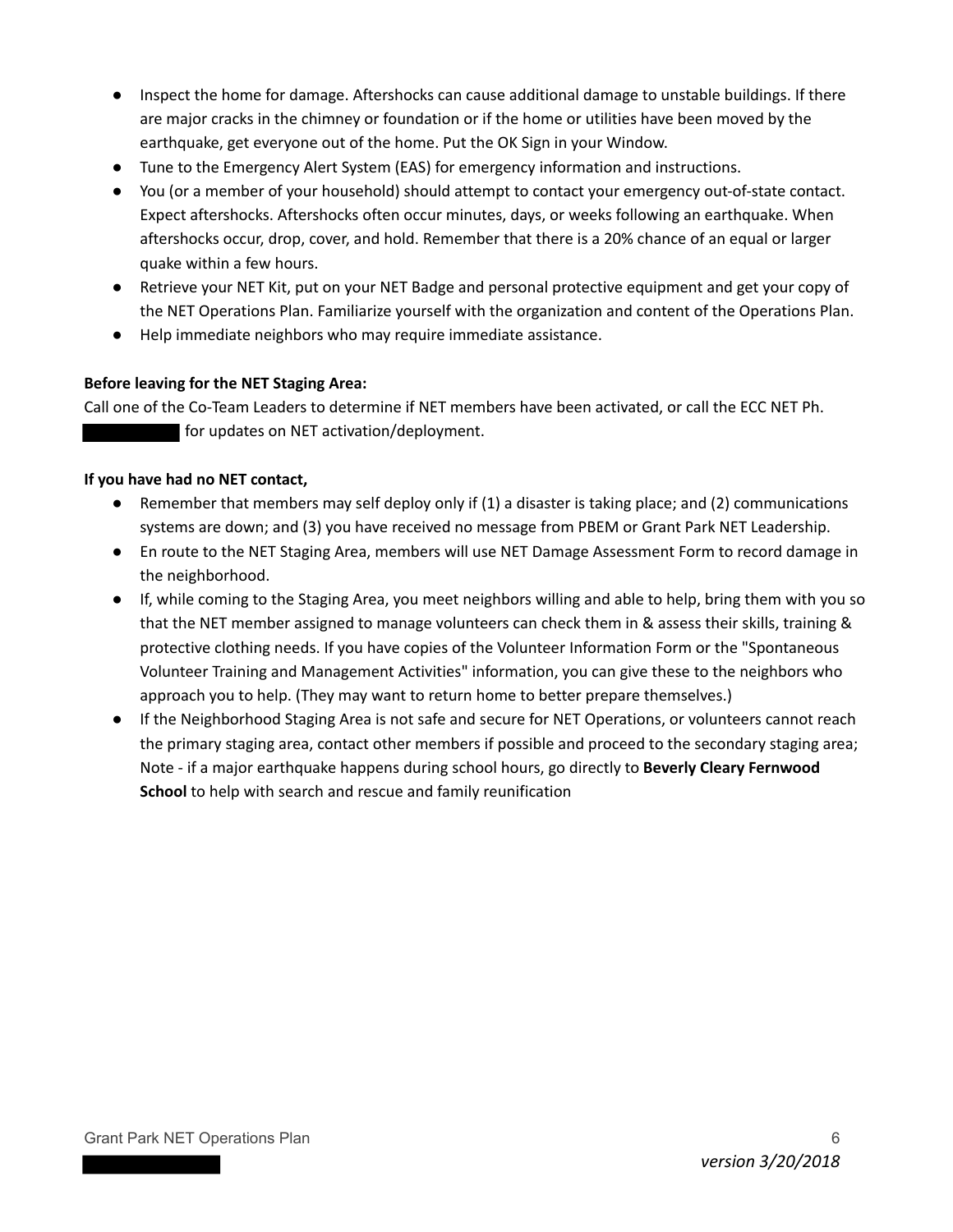- Inspect the home for damage. Aftershocks can cause additional damage to unstable buildings. If there are major cracks in the chimney or foundation or if the home or utilities have been moved by the earthquake, get everyone out of the home. Put the OK Sign in your Window.
- Tune to the Emergency Alert System (EAS) for emergency information and instructions.
- You (or a member of your household) should attempt to contact your emergency out-of-state contact. Expect aftershocks. Aftershocks often occur minutes, days, or weeks following an earthquake. When aftershocks occur, drop, cover, and hold. Remember that there is a 20% chance of an equal or larger quake within a few hours.
- Retrieve your NET Kit, put on your NET Badge and personal protective equipment and get your copy of the NET Operations Plan. Familiarize yourself with the organization and content of the Operations Plan.
- Help immediate neighbors who may require immediate assistance.

#### **Before leaving for the NET Staging Area:**

Call one of the Co-Team Leaders to determine if NET members have been activated, or call the ECC NET Ph. for updates on NET activation/deployment.

#### **If you have had no NET contact,**

- Remember that members may self deploy only if (1) a disaster is taking place; and (2) communications systems are down; and (3) you have received no message from PBEM or Grant Park NET Leadership.
- En route to the NET Staging Area, members will use NET Damage Assessment Form to record damage in the neighborhood.
- If, while coming to the Staging Area, you meet neighbors willing and able to help, bring them with you so that the NET member assigned to manage volunteers can check them in & assess their skills, training & protective clothing needs. If you have copies of the Volunteer Information Form or the "Spontaneous Volunteer Training and Management Activities" information, you can give these to the neighbors who approach you to help. (They may want to return home to better prepare themselves.)
- If the Neighborhood Staging Area is not safe and secure for NET Operations, or volunteers cannot reach the primary staging area, contact other members if possible and proceed to the secondary staging area; Note - if a major earthquake happens during school hours, go directly to **Beverly Cleary Fernwood School** to help with search and rescue and family reunification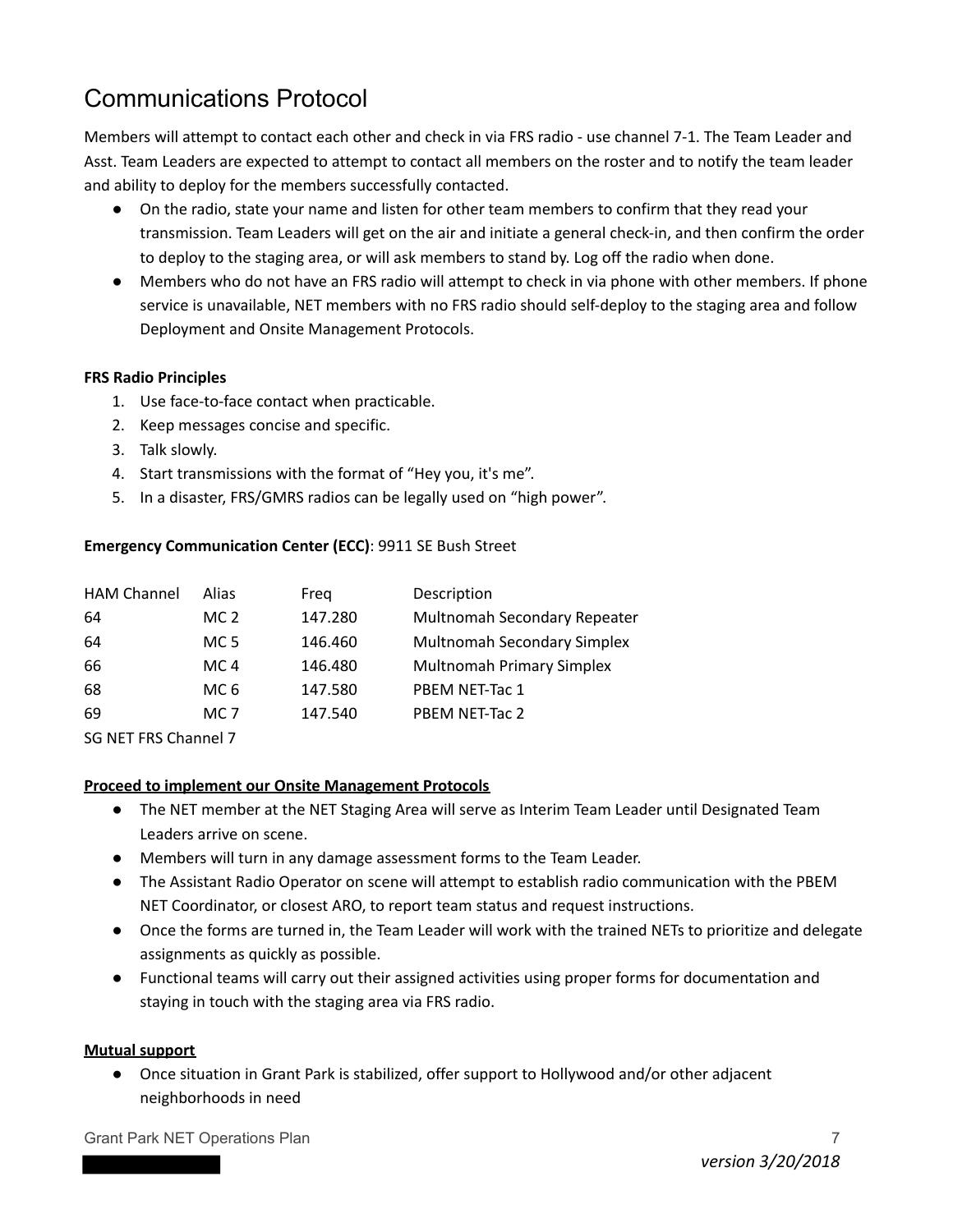# Communications Protocol

Members will attempt to contact each other and check in via FRS radio - use channel 7-1. The Team Leader and Asst. Team Leaders are expected to attempt to contact all members on the roster and to notify the team leader and ability to deploy for the members successfully contacted.

- On the radio, state your name and listen for other team members to confirm that they read your transmission. Team Leaders will get on the air and initiate a general check-in, and then confirm the order to deploy to the staging area, or will ask members to stand by. Log off the radio when done.
- Members who do not have an FRS radio will attempt to check in via phone with other members. If phone service is unavailable, NET members with no FRS radio should self-deploy to the staging area and follow Deployment and Onsite Management Protocols.

#### **FRS Radio Principles**

- 1. Use face-to-face contact when practicable.
- 2. Keep messages concise and specific.
- 3. Talk slowly.
- 4. Start transmissions with the format of "Hey you, it's me".
- 5. In a disaster, FRS/GMRS radios can be legally used on "high power".

#### **Emergency Communication Center (ECC)**: 9911 SE Bush Street

| Alias           | Description                                                 |
|-----------------|-------------------------------------------------------------|
| MC <sub>2</sub> | Multnomah Secondary Repeater                                |
| MC <sub>5</sub> | Multnomah Secondary Simplex                                 |
| MC <sub>4</sub> | <b>Multnomah Primary Simplex</b>                            |
| MC 6            | PBEM NET-Tac 1                                              |
| MC <sub>7</sub> | PBEM NET-Tac 2                                              |
|                 | Freg<br>147.280<br>146.460<br>146.480<br>147.580<br>147.540 |

SG NET FRS Channel 7

#### **Proceed to implement our Onsite Management Protocols**

- The NET member at the NET Staging Area will serve as Interim Team Leader until Designated Team Leaders arrive on scene.
- Members will turn in any damage assessment forms to the Team Leader.
- The Assistant Radio Operator on scene will attempt to establish radio communication with the PBEM NET Coordinator, or closest ARO, to report team status and request instructions.
- Once the forms are turned in, the Team Leader will work with the trained NETs to prioritize and delegate assignments as quickly as possible.
- Functional teams will carry out their assigned activities using proper forms for documentation and staying in touch with the staging area via FRS radio.

#### **Mutual support**

● Once situation in Grant Park is stabilized, offer support to Hollywood and/or other adjacent neighborhoods in need

Grant Park NET Operations Plan 7 and 7 and 7 and 7 and 7 and 7 and 7 and 7 and 7 and 7 and 7 and 7 and 7 and 7 and 7 and 7 and 7 and 7 and 7 and 7 and 7 and 7 and 7 and 7 and 7 and 7 and 7 and 7 and 7 and 7 and 7 and 7 and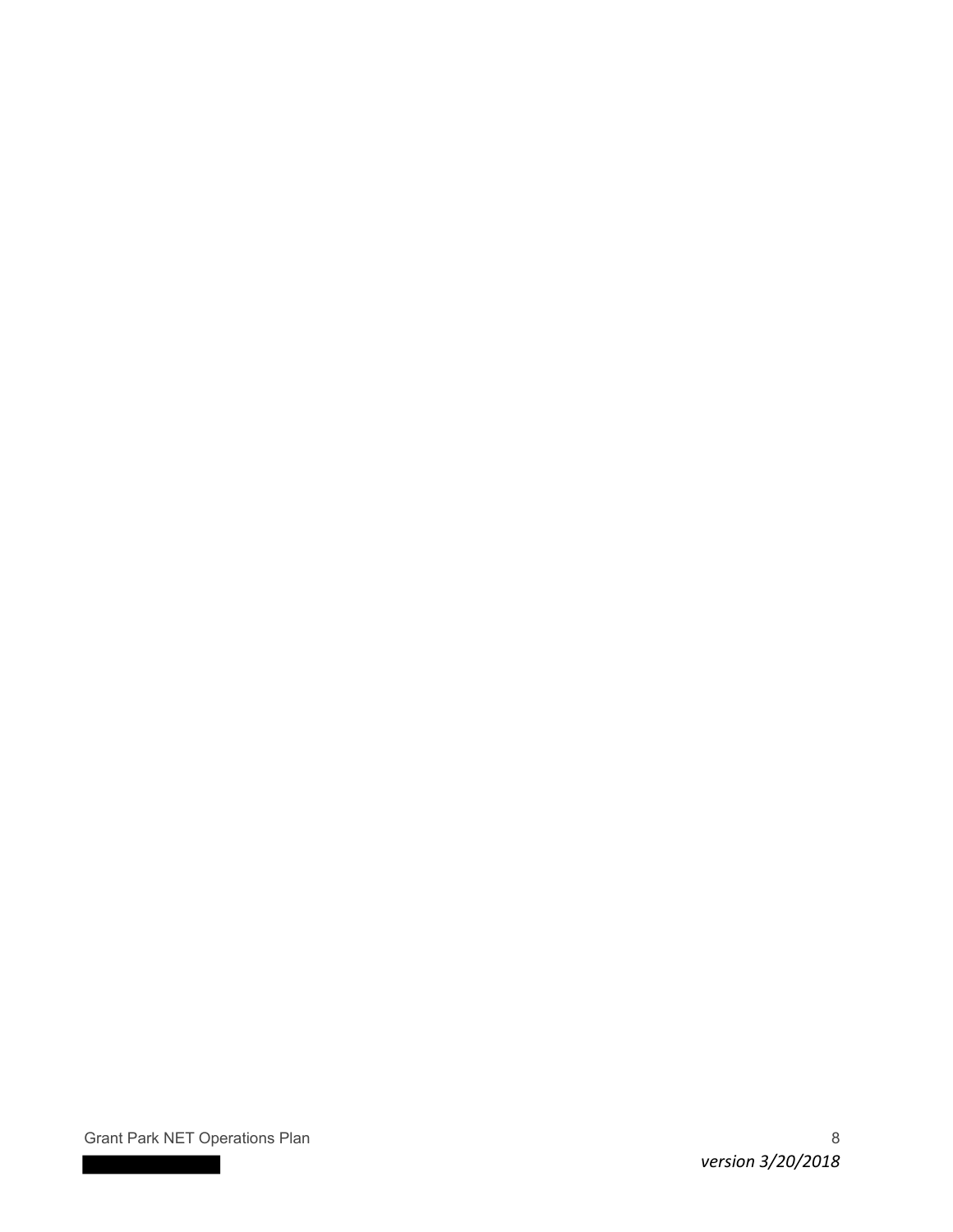Grant Park NET Operations Plan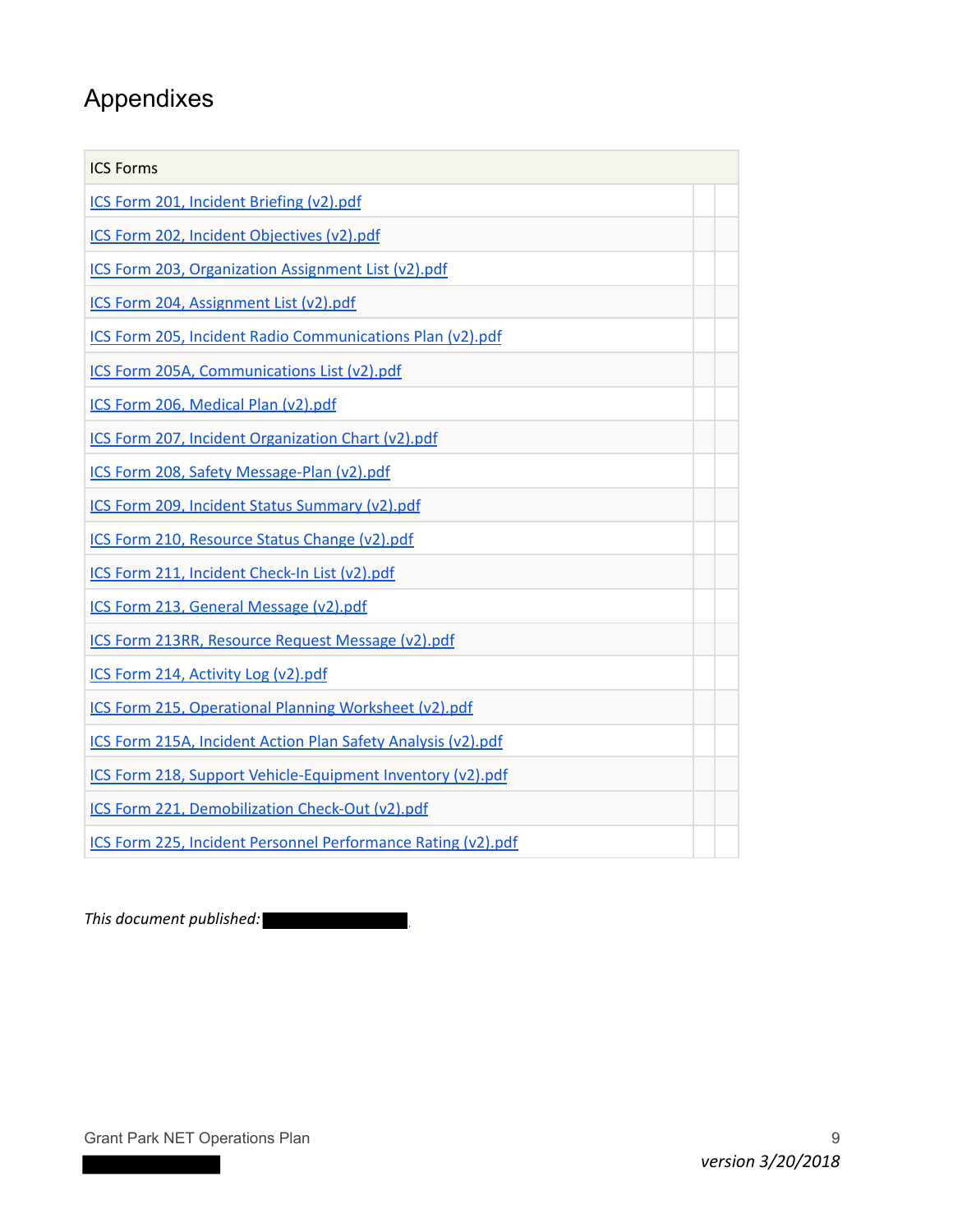# Appendixes

| <b>ICS Forms</b>                                             |  |
|--------------------------------------------------------------|--|
| ICS Form 201, Incident Briefing (v2).pdf                     |  |
| ICS Form 202, Incident Objectives (v2).pdf                   |  |
| ICS Form 203, Organization Assignment List (v2).pdf          |  |
| ICS Form 204, Assignment List (v2).pdf                       |  |
| ICS Form 205, Incident Radio Communications Plan (v2).pdf    |  |
| ICS Form 205A, Communications List (v2).pdf                  |  |
| ICS Form 206, Medical Plan (v2).pdf                          |  |
| ICS Form 207, Incident Organization Chart (v2).pdf           |  |
| ICS Form 208, Safety Message-Plan (v2).pdf                   |  |
| ICS Form 209, Incident Status Summary (v2).pdf               |  |
| ICS Form 210, Resource Status Change (v2).pdf                |  |
| ICS Form 211, Incident Check-In List (v2).pdf                |  |
| ICS Form 213, General Message (v2).pdf                       |  |
| ICS Form 213RR, Resource Request Message (v2).pdf            |  |
| ICS Form 214, Activity Log (v2).pdf                          |  |
| ICS Form 215, Operational Planning Worksheet (v2).pdf        |  |
| ICS Form 215A, Incident Action Plan Safety Analysis (v2).pdf |  |
| ICS Form 218, Support Vehicle-Equipment Inventory (v2).pdf   |  |
| ICS Form 221, Demobilization Check-Out (v2).pdf              |  |
| ICS Form 225, Incident Personnel Performance Rating (v2).pdf |  |

*This document published:*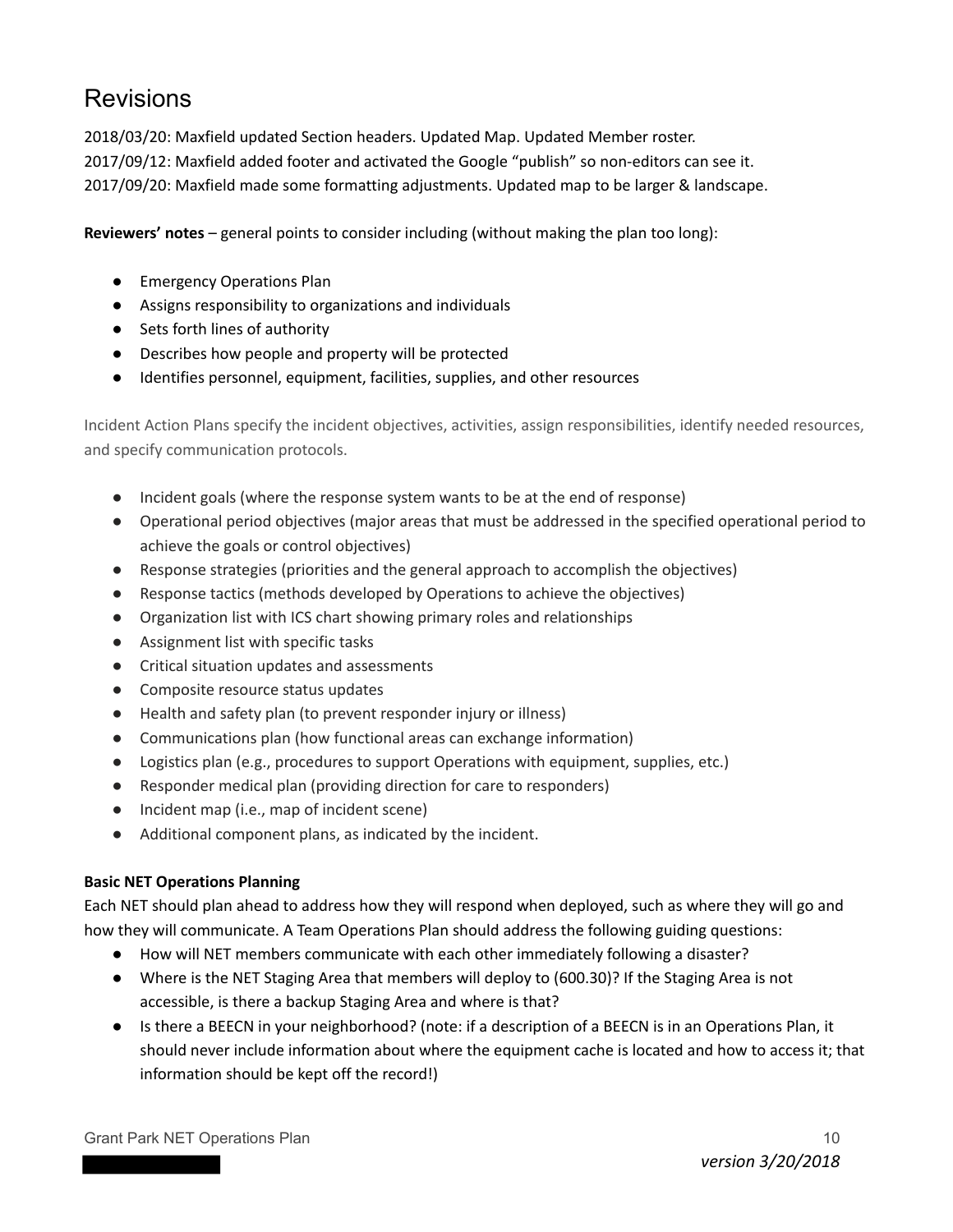### **Revisions**

2018/03/20: Maxfield updated Section headers. Updated Map. Updated Member roster. 2017/09/12: Maxfield added footer and activated the Google "publish" so non-editors can see it. 2017/09/20: Maxfield made some formatting adjustments. Updated map to be larger & landscape.

**Reviewers' notes** – general points to consider including (without making the plan too long):

- Emergency Operations Plan
- Assigns responsibility to organizations and individuals
- Sets forth lines of authority
- Describes how people and property will be protected
- Identifies personnel, equipment, facilities, supplies, and other resources

Incident Action Plans specify the incident objectives, activities, assign responsibilities, identify needed resources, and specify communication protocols.

- Incident goals (where the response system wants to be at the end of response)
- Operational period objectives (major areas that must be addressed in the specified operational period to achieve the goals or control objectives)
- Response strategies (priorities and the general approach to accomplish the objectives)
- Response tactics (methods developed by Operations to achieve the objectives)
- Organization list with ICS chart showing primary roles and relationships
- Assignment list with specific tasks
- Critical situation updates and assessments
- Composite resource status updates
- Health and safety plan (to prevent responder injury or illness)
- Communications plan (how functional areas can exchange information)
- Logistics plan (e.g., procedures to support Operations with equipment, supplies, etc.)
- Responder medical plan (providing direction for care to responders)
- Incident map (i.e., map of incident scene)
- Additional component plans, as indicated by the incident.

#### **Basic NET Operations Planning**

Each NET should plan ahead to address how they will respond when deployed, such as where they will go and how they will communicate. A Team Operations Plan should address the following guiding questions:

- How will NET members communicate with each other immediately following a disaster?
- Where is the NET Staging Area that members will deploy to (600.30)? If the Staging Area is not accessible, is there a backup Staging Area and where is that?
- Is there a BEECN in your neighborhood? (note: if a description of a BEECN is in an Operations Plan, it should never include information about where the equipment cache is located and how to access it; that information should be kept off the record!)